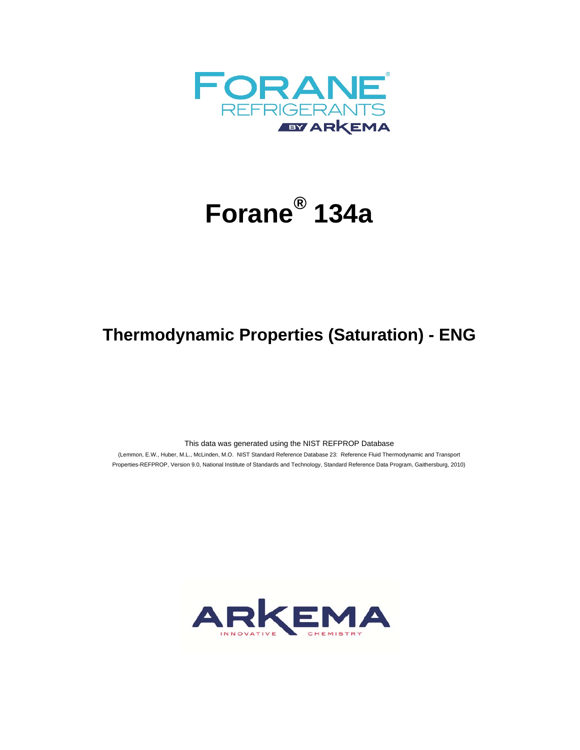

## **Forane® 134a**

## **Thermodynamic Properties (Saturation) - ENG**

This data was generated using the NIST REFPROP Database

 (Lemmon, E.W., Huber, M.L., McLinden, M.O. NIST Standard Reference Database 23: Reference Fluid Thermodynamic and Transport Properties-REFPROP, Version 9.0, National Institute of Standards and Technology, Standard Reference Data Program, Gaithersburg, 2010)

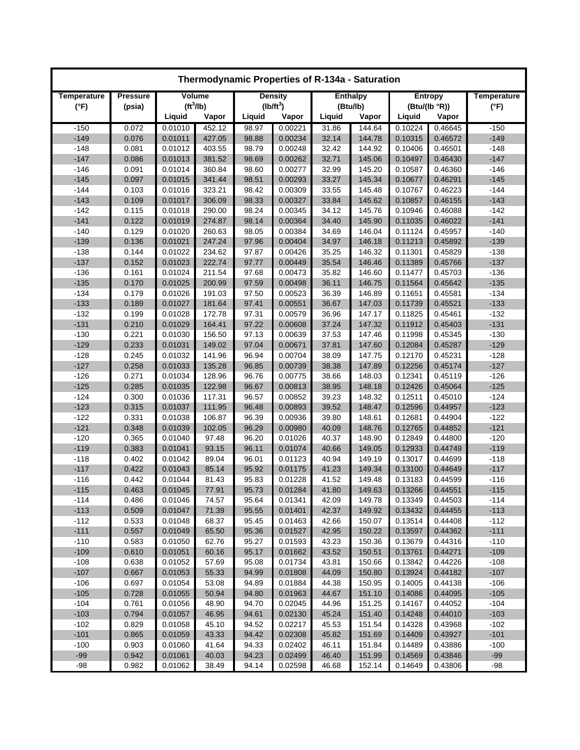|                  | Thermodynamic Properties of R-134a - Saturation |                       |                  |                |                    |                |                  |                    |                    |                    |  |  |  |
|------------------|-------------------------------------------------|-----------------------|------------------|----------------|--------------------|----------------|------------------|--------------------|--------------------|--------------------|--|--|--|
| Temperature      | <b>Pressure</b>                                 | Volume                |                  |                | <b>Density</b>     |                | <b>Enthalpy</b>  |                    | Entropy            | <b>Temperature</b> |  |  |  |
| $(^{\circ}F)$    | (psia)                                          | (tf <sup>3</sup> /lb) |                  |                | $(lb/ft^3)$        |                | (Btu/lb)         |                    | (Btu/(lb °R))      | $(^{\circ}F)$      |  |  |  |
|                  |                                                 | Liquid                | Vapor            | Liquid         | Vapor              | Liquid         | Vapor            | Liquid             | Vapor              |                    |  |  |  |
| $-150$           | 0.072                                           | 0.01010               | 452.12           | 98.97          | 0.00221            | 31.86          | 144.64           | 0.10224            | 0.46645            | $-150$             |  |  |  |
| $-149$           | 0.076                                           | 0.01011               | 427.05           | 98.88          | 0.00234            | 32.14          | 144.78           | 0.10315            | 0.46572            | $-149$             |  |  |  |
| $-148$           | 0.081                                           | 0.01012               | 403.55           | 98.79          | 0.00248            | 32.42          | 144.92           | 0.10406            | 0.46501            | $-148$             |  |  |  |
| $-147$           | 0.086                                           | 0.01013               | 381.52           | 98.69          | 0.00262            | 32.71          | 145.06           | 0.10497            | 0.46430            | $-147$             |  |  |  |
| $-146$           | 0.091                                           | 0.01014               | 360.84           | 98.60          | 0.00277            | 32.99          | 145.20           | 0.10587            | 0.46360            | $-146$             |  |  |  |
| $-145$           | 0.097                                           | 0.01015               | 341.44           | 98.51          | 0.00293            | 33.27          | 145.34           | 0.10677            | 0.46291            | $-145$             |  |  |  |
| $-144$           | 0.103                                           | 0.01016<br>0.01017    | 323.21           | 98.42          | 0.00309            | 33.55          | 145.48           | 0.10767            | 0.46223            | $-144$             |  |  |  |
| $-143$<br>$-142$ | 0.109<br>0.115                                  | 0.01018               | 306.09<br>290.00 | 98.33<br>98.24 | 0.00327<br>0.00345 | 33.84<br>34.12 | 145.62<br>145.76 | 0.10857<br>0.10946 | 0.46155<br>0.46088 | $-143$<br>$-142$   |  |  |  |
| $-141$           | 0.122                                           | 0.01019               | 274.87           | 98.14          | 0.00364            | 34.40          | 145.90           | 0.11035            | 0.46022            | $-141$             |  |  |  |
| $-140$           | 0.129                                           | 0.01020               | 260.63           | 98.05          | 0.00384            | 34.69          | 146.04           | 0.11124            | 0.45957            | $-140$             |  |  |  |
| $-139$           | 0.136                                           | 0.01021               | 247.24           | 97.96          | 0.00404            | 34.97          | 146.18           | 0.11213            | 0.45892            | $-139$             |  |  |  |
| $-138$           | 0.144                                           | 0.01022               | 234.62           | 97.87          | 0.00426            | 35.25          | 146.32           | 0.11301            | 0.45829            | $-138$             |  |  |  |
| $-137$           | 0.152                                           | 0.01023               | 222.74           | 97.77          | 0.00449            | 35.54          | 146.46           | 0.11389            | 0.45766            | $-137$             |  |  |  |
| $-136$           | 0.161                                           | 0.01024               | 211.54           | 97.68          | 0.00473            | 35.82          | 146.60           | 0.11477            | 0.45703            | $-136$             |  |  |  |
| $-135$           | 0.170                                           | 0.01025               | 200.99           | 97.59          | 0.00498            | 36.11          | 146.75           | 0.11564            | 0.45642            | $-135$             |  |  |  |
| $-134$           | 0.179                                           | 0.01026               | 191.03           | 97.50          | 0.00523            | 36.39          | 146.89           | 0.11651            | 0.45581            | $-134$             |  |  |  |
| $-133$           | 0.189                                           | 0.01027               | 181.64           | 97.41          | 0.00551            | 36.67          | 147.03           | 0.11739            | 0.45521            | $-133$             |  |  |  |
| $-132$           | 0.199                                           | 0.01028               | 172.78           | 97.31          | 0.00579            | 36.96          | 147.17           | 0.11825            | 0.45461            | $-132$             |  |  |  |
| $-131$           | 0.210                                           | 0.01029               | 164.41           | 97.22          | 0.00608            | 37.24          | 147.32           | 0.11912            | 0.45403            | $-131$             |  |  |  |
| $-130$           | 0.221                                           | 0.01030               | 156.50           | 97.13          | 0.00639            | 37.53          | 147.46           | 0.11998            | 0.45345            | $-130$             |  |  |  |
| $-129$           | 0.233                                           | 0.01031               | 149.02           | 97.04          | 0.00671            | 37.81          | 147.60           | 0.12084            | 0.45287            | $-129$             |  |  |  |
| $-128$           | 0.245                                           | 0.01032               | 141.96           | 96.94          | 0.00704            | 38.09          | 147.75           | 0.12170            | 0.45231            | $-128$             |  |  |  |
| $-127$           | 0.258                                           | 0.01033               | 135.28           | 96.85          | 0.00739            | 38.38          | 147.89           | 0.12256            | 0.45174            | $-127$             |  |  |  |
| $-126$           | 0.271                                           | 0.01034               | 128.96           | 96.76          | 0.00775            | 38.66          | 148.03           | 0.12341            | 0.45119            | $-126$             |  |  |  |
| $-125$           | 0.285                                           | 0.01035               | 122.98           | 96.67          | 0.00813            | 38.95          | 148.18           | 0.12426            | 0.45064            | $-125$             |  |  |  |
| $-124$           | 0.300                                           | 0.01036               | 117.31           | 96.57          | 0.00852            | 39.23          | 148.32           | 0.12511            | 0.45010            | $-124$             |  |  |  |
| $-123$           | 0.315                                           | 0.01037               | 111.95           | 96.48          | 0.00893            | 39.52          | 148.47           | 0.12596            | 0.44957            | $-123$             |  |  |  |
| $-122$           | 0.331                                           | 0.01038               | 106.87           | 96.39          | 0.00936            | 39.80          | 148.61           | 0.12681            | 0.44904            | $-122$             |  |  |  |
| $-121$           | 0.348                                           | 0.01039               | 102.05           | 96.29          | 0.00980            | 40.09          | 148.76           | 0.12765            | 0.44852            | $-121$             |  |  |  |
| $-120$           | 0.365                                           | 0.01040               | 97.48            | 96.20          | 0.01026            | 40.37          | 148.90           | 0.12849            | 0.44800            | $-120$             |  |  |  |
| $-119$           | 0.383                                           | 0.01041               | 93.15            | 96.11          | 0.01074            | 40.66          | 149.05           | 0.12933            | 0.44749            | $-119$             |  |  |  |
| $-118$           | 0.402                                           | 0.01042               | 89.04            | 96.01          | 0.01123            | 40.94          | 149.19           | 0.13017            | 0.44699            | $-118$             |  |  |  |
| $-117$           | 0.422                                           | 0.01043               | 85.14            | 95.92          | 0.01175            | 41.23          | 149.34           | 0.13100            | 0.44649            | $-117$             |  |  |  |
| $-116$           | 0.442                                           | 0.01044               | 81.43            | 95.83          | 0.01228            | 41.52          | 149.48           | 0.13183            | 0.44599            | $-116$             |  |  |  |
| $-115$           | 0.463                                           | 0.01045               | 77.91            | 95.73          | 0.01284            | 41.80          | 149.63           | 0.13266            | 0.44551            | $-115$             |  |  |  |
| -114             | 0.486                                           | 0.01046               | 74.57            | 95.64          | 0.01341            | 42.09          | 149.78           | 0.13349            | 0.44503            | $-114$             |  |  |  |
| $-113$           | 0.509                                           | 0.01047               | 71.39            | 95.55          | 0.01401            | 42.37          | 149.92           | 0.13432            | 0.44455            | $-113$             |  |  |  |
| $-112$           | 0.533                                           | 0.01048               | 68.37            | 95.45          | 0.01463            | 42.66          | 150.07           | 0.13514            | 0.44408            | $-112$             |  |  |  |
| $-111$           | 0.557                                           | 0.01049               | 65.50            | 95.36          | 0.01527            | 42.95          | 150.22           | 0.13597            | 0.44362            | $-111$             |  |  |  |
| $-110$           | 0.583                                           | 0.01050               | 62.76            | 95.27          | 0.01593            | 43.23          | 150.36           | 0.13679            | 0.44316            | $-110$             |  |  |  |
| $-109$           | 0.610                                           | 0.01051               | 60.16            | 95.17          | 0.01662            | 43.52          | 150.51           | 0.13761            | 0.44271            | $-109$             |  |  |  |
| $-108$<br>$-107$ | 0.638<br>0.667                                  | 0.01052<br>0.01053    | 57.69<br>55.33   | 95.08          | 0.01734<br>0.01808 | 43.81<br>44.09 | 150.66<br>150.80 | 0.13842<br>0.13924 | 0.44226<br>0.44182 | $-108$<br>$-107$   |  |  |  |
| $-106$           | 0.697                                           | 0.01054               | 53.08            | 94.99<br>94.89 | 0.01884            | 44.38          | 150.95           | 0.14005            | 0.44138            | $-106$             |  |  |  |
| $-105$           | 0.728                                           | 0.01055               | 50.94            | 94.80          | 0.01963            | 44.67          | 151.10           | 0.14086            | 0.44095            | $-105$             |  |  |  |
| $-104$           | 0.761                                           | 0.01056               | 48.90            | 94.70          | 0.02045            | 44.96          | 151.25           | 0.14167            | 0.44052            | $-104$             |  |  |  |
| $-103$           | 0.794                                           | 0.01057               | 46.95            | 94.61          | 0.02130            | 45.24          | 151.40           | 0.14248            | 0.44010            | $-103$             |  |  |  |
| $-102$           | 0.829                                           | 0.01058               | 45.10            | 94.52          | 0.02217            | 45.53          | 151.54           | 0.14328            | 0.43968            | $-102$             |  |  |  |
| $-101$           | 0.865                                           | 0.01059               | 43.33            | 94.42          | 0.02308            | 45.82          | 151.69           | 0.14409            | 0.43927            | $-101$             |  |  |  |
| $-100$           | 0.903                                           | 0.01060               | 41.64            | 94.33          | 0.02402            | 46.11          | 151.84           | 0.14489            | 0.43886            | $-100$             |  |  |  |
| $-99$            | 0.942                                           | 0.01061               | 40.03            | 94.23          | 0.02499            | 46.40          | 151.99           | 0.14569            | 0.43846            | $-99$              |  |  |  |
| $-98$            | 0.982                                           | 0.01062               | 38.49            | 94.14          | 0.02598            | 46.68          | 152.14           | 0.14649            | 0.43806            | $-98$              |  |  |  |
|                  |                                                 |                       |                  |                |                    |                |                  |                    |                    |                    |  |  |  |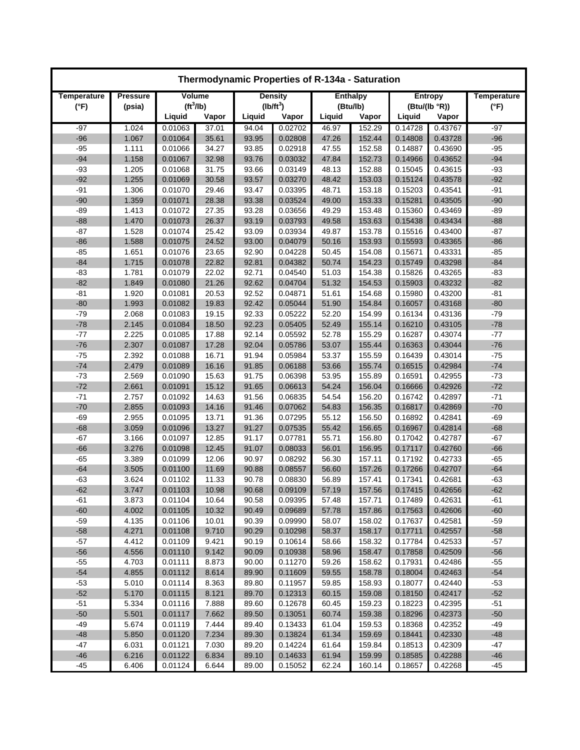| Thermodynamic Properties of R-134a - Saturation |                 |                       |                |                |                    |                |                  |                    |                    |                    |  |
|-------------------------------------------------|-----------------|-----------------------|----------------|----------------|--------------------|----------------|------------------|--------------------|--------------------|--------------------|--|
| Temperature                                     | <b>Pressure</b> | Volume                |                |                | <b>Density</b>     |                | <b>Enthalpy</b>  |                    | Entropy            | <b>Temperature</b> |  |
| $(^{\circ}F)$                                   | (psia)          | (tf <sup>3</sup> /lb) |                |                | $(lb/ft^3)$        |                | (Btu/lb)         |                    | (Btu/(lb °R))      | $(^{\circ}F)$      |  |
|                                                 |                 | Liquid                | Vapor          | Liquid         | Vapor              | Liquid         | Vapor            | Liquid             | Vapor              |                    |  |
| $-97$                                           | 1.024           | 0.01063               | 37.01          | 94.04          | 0.02702            | 46.97          | 152.29           | 0.14728            | 0.43767            | $-97$              |  |
| $-96$                                           | 1.067           | 0.01064               | 35.61          | 93.95          | 0.02808            | 47.26          | 152.44           | 0.14808            | 0.43728            | $-96$              |  |
| $-95$                                           | 1.111           | 0.01066               | 34.27          | 93.85          | 0.02918            | 47.55          | 152.58           | 0.14887            | 0.43690            | $-95$              |  |
| $-94$                                           | 1.158           | 0.01067               | 32.98          | 93.76          | 0.03032            | 47.84          | 152.73           | 0.14966            | 0.43652            | $-94$              |  |
| $-93$                                           | 1.205           | 0.01068               | 31.75          | 93.66          | 0.03149            | 48.13          | 152.88           | 0.15045            | 0.43615            | $-93$              |  |
| $-92$                                           | 1.255           | 0.01069               | 30.58          | 93.57          | 0.03270            | 48.42          | 153.03           | 0.15124            | 0.43578            | $-92$              |  |
| $-91$                                           | 1.306           | 0.01070               | 29.46          | 93.47          | 0.03395            | 48.71          | 153.18           | 0.15203            | 0.43541            | $-91$              |  |
| $-90$                                           | 1.359           | 0.01071               | 28.38          | 93.38          | 0.03524            | 49.00          | 153.33           | 0.15281            | 0.43505            | $-90$              |  |
| $-89$                                           | 1.413           | 0.01072               | 27.35          | 93.28          | 0.03656            | 49.29          | 153.48           | 0.15360            | 0.43469            | $-89$<br>$-88$     |  |
| $-88$<br>$-87$                                  | 1.470<br>1.528  | 0.01073<br>0.01074    | 26.37<br>25.42 | 93.19<br>93.09 | 0.03793<br>0.03934 | 49.58<br>49.87 | 153.63           | 0.15438<br>0.15516 | 0.43434<br>0.43400 | $-87$              |  |
| $-86$                                           | 1.588           | 0.01075               | 24.52          | 93.00          | 0.04079            | 50.16          | 153.78<br>153.93 | 0.15593            | 0.43365            | $-86$              |  |
| $-85$                                           | 1.651           | 0.01076               | 23.65          | 92.90          | 0.04228            | 50.45          | 154.08           | 0.15671            | 0.43331            | $-85$              |  |
| $-84$                                           | 1.715           | 0.01078               | 22.82          | 92.81          | 0.04382            | 50.74          | 154.23           | 0.15749            | 0.43298            | $-84$              |  |
| $-83$                                           | 1.781           | 0.01079               | 22.02          | 92.71          | 0.04540            | 51.03          | 154.38           | 0.15826            | 0.43265            | $-83$              |  |
| $-82$                                           | 1.849           | 0.01080               | 21.26          | 92.62          | 0.04704            | 51.32          | 154.53           | 0.15903            | 0.43232            | $-82$              |  |
| $-81$                                           | 1.920           | 0.01081               | 20.53          | 92.52          | 0.04871            | 51.61          | 154.68           | 0.15980            | 0.43200            | $-81$              |  |
| $-80$                                           | 1.993           | 0.01082               | 19.83          | 92.42          | 0.05044            | 51.90          | 154.84           | 0.16057            | 0.43168            | $-80$              |  |
| $-79$                                           | 2.068           | 0.01083               | 19.15          | 92.33          | 0.05222            | 52.20          | 154.99           | 0.16134            | 0.43136            | $-79$              |  |
| $-78$                                           | 2.145           | 0.01084               | 18.50          | 92.23          | 0.05405            | 52.49          | 155.14           | 0.16210            | 0.43105            | $-78$              |  |
| $-77$                                           | 2.225           | 0.01085               | 17.88          | 92.14          | 0.05592            | 52.78          | 155.29           | 0.16287            | 0.43074            | $-77$              |  |
| $-76$                                           | 2.307           | 0.01087               | 17.28          | 92.04          | 0.05786            | 53.07          | 155.44           | 0.16363            | 0.43044            | $-76$              |  |
| $-75$                                           | 2.392           | 0.01088               | 16.71          | 91.94          | 0.05984            | 53.37          | 155.59           | 0.16439            | 0.43014            | $-75$              |  |
| $-74$                                           | 2.479           | 0.01089               | 16.16          | 91.85          | 0.06188            | 53.66          | 155.74           | 0.16515            | 0.42984            | $-74$              |  |
| $-73$                                           | 2.569           | 0.01090               | 15.63          | 91.75          | 0.06398            | 53.95          | 155.89           | 0.16591            | 0.42955            | $-73$              |  |
| $-72$                                           | 2.661           | 0.01091               | 15.12          | 91.65          | 0.06613            | 54.24          | 156.04           | 0.16666            | 0.42926            | $-72$              |  |
| $-71$                                           | 2.757           | 0.01092               | 14.63          | 91.56          | 0.06835            | 54.54          | 156.20           | 0.16742            | 0.42897            | $-71$              |  |
| $-70$                                           | 2.855           | 0.01093               | 14.16          | 91.46          | 0.07062            | 54.83          | 156.35           | 0.16817            | 0.42869            | $-70$              |  |
| $-69$                                           | 2.955           | 0.01095               | 13.71          | 91.36          | 0.07295            | 55.12          | 156.50           | 0.16892            | 0.42841            | $-69$              |  |
| $-68$                                           | 3.059           | 0.01096               | 13.27          | 91.27          | 0.07535            | 55.42          | 156.65           | 0.16967            | 0.42814            | $-68$              |  |
| $-67$                                           | 3.166           | 0.01097               | 12.85          | 91.17          | 0.07781            | 55.71          | 156.80           | 0.17042            | 0.42787            | $-67$              |  |
| $-66$                                           | 3.276           | 0.01098               | 12.45          | 91.07          | 0.08033            | 56.01          | 156.95           | 0.17117            | 0.42760            | $-66$              |  |
| $-65$                                           | 3.389           | 0.01099               | 12.06          | 90.97          | 0.08292            | 56.30          | 157.11           | 0.17192            | 0.42733            | $-65$              |  |
| $-64$                                           | 3.505           | 0.01100               | 11.69          | 90.88          | 0.08557            | 56.60          | 157.26           | 0.17266            | 0.42707            | $-64$              |  |
| $-63$                                           | 3.624           | 0.01102               | 11.33          | 90.78          | 0.08830            | 56.89          | 157.41           | 0.17341            | 0.42681            | $-63$              |  |
| $-62$                                           | 3.747           | 0.01103               | 10.98          | 90.68          | 0.09109            | 57.19          | 157.56           | 0.17415            | 0.42656            | $-62$              |  |
| -61                                             | 3.873           | 0.01104               | 10.64          | 90.58          | 0.09395            | 57.48          | 157.71           | 0.17489            | 0.42631            | -61                |  |
| $-60$                                           | 4.002           | 0.01105               | 10.32          | 90.49          | 0.09689            | 57.78          | 157.86           | 0.17563            | 0.42606            | $-60$              |  |
| $-59$                                           | 4.135           | 0.01106               | 10.01          | 90.39          | 0.09990            | 58.07          | 158.02           | 0.17637            | 0.42581            | $-59$              |  |
| $-58$                                           | 4.271           | 0.01108               | 9.710          | 90.29          | 0.10298            | 58.37          | 158.17           | 0.17711            | 0.42557            | $-58$              |  |
| $-57$                                           | 4.412           | 0.01109               | 9.421          | 90.19          | 0.10614            | 58.66          | 158.32           | 0.17784            | 0.42533            | $-57$              |  |
| $-56$                                           | 4.556           | 0.01110               | 9.142          | 90.09          | 0.10938            | 58.96          | 158.47           | 0.17858            | 0.42509            | $-56$              |  |
| $-55$                                           | 4.703           | 0.01111               | 8.873          | 90.00          | 0.11270            | 59.26          | 158.62           | 0.17931            | 0.42486            | $-55$              |  |
| $-54$                                           | 4.855           | 0.01112               | 8.614          | 89.90          | 0.11609            | 59.55          | 158.78           | 0.18004            | 0.42463            | $-54$              |  |
| $-53$<br>$-52$                                  | 5.010<br>5.170  | 0.01114<br>0.01115    | 8.363<br>8.121 | 89.80<br>89.70 | 0.11957<br>0.12313 | 59.85<br>60.15 | 158.93<br>159.08 | 0.18077<br>0.18150 | 0.42440<br>0.42417 | $-53$<br>$-52$     |  |
| $-51$                                           | 5.334           | 0.01116               | 7.888          | 89.60          | 0.12678            | 60.45          | 159.23           | 0.18223            | 0.42395            | $-51$              |  |
| $-50$                                           | 5.501           | 0.01117               | 7.662          | 89.50          | 0.13051            | 60.74          | 159.38           | 0.18296            | 0.42373            | $-50$              |  |
| -49                                             | 5.674           | 0.01119               | 7.444          | 89.40          | 0.13433            | 61.04          | 159.53           | 0.18368            | 0.42352            | $-49$              |  |
| $-48$                                           | 5.850           | 0.01120               | 7.234          | 89.30          | 0.13824            | 61.34          | 159.69           | 0.18441            | 0.42330            | $-48$              |  |
| $-47$                                           | 6.031           | 0.01121               | 7.030          | 89.20          | 0.14224            | 61.64          | 159.84           | 0.18513            | 0.42309            | -47                |  |
| $-46$                                           | 6.216           | 0.01122               | 6.834          | 89.10          | 0.14633            | 61.94          | 159.99           | 0.18585            | 0.42288            | $-46$              |  |
| $-45$                                           | 6.406           | 0.01124               | 6.644          | 89.00          | 0.15052            | 62.24          | 160.14           | 0.18657            | 0.42268            | -45                |  |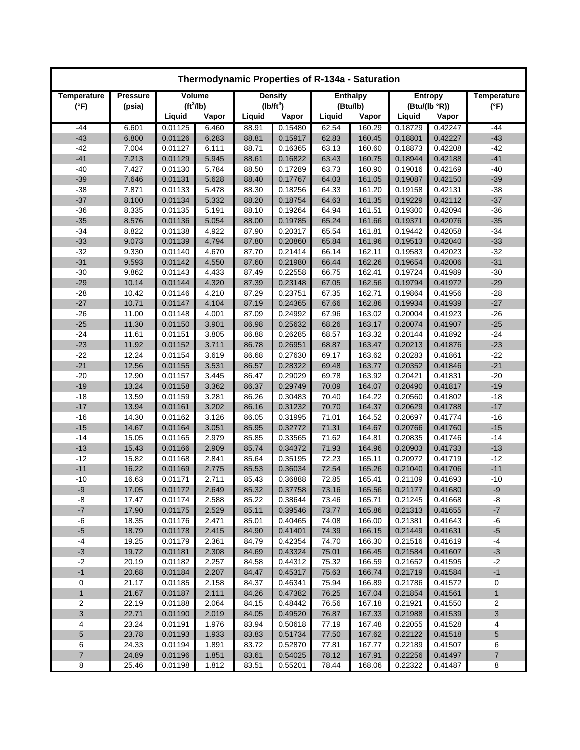|                    |                 |                       |                |                | Thermodynamic Properties of R-134a - Saturation |                 |                  |                    |                    |                    |               |               |
|--------------------|-----------------|-----------------------|----------------|----------------|-------------------------------------------------|-----------------|------------------|--------------------|--------------------|--------------------|---------------|---------------|
| <b>Temperature</b> | <b>Pressure</b> | Volume                |                | <b>Density</b> |                                                 | <b>Enthalpy</b> |                  |                    | Entropy            | <b>Temperature</b> |               |               |
| $(^{\circ}F)$      | (psia)          | (tf <sup>3</sup> /lb) |                | $(lb/ft^3)$    |                                                 | (Btu/lb)        |                  |                    |                    |                    | (Btu/(lb °R)) | $(^{\circ}F)$ |
|                    |                 | Liquid                | Vapor          | Liquid         | Vapor                                           | Liquid          | Vapor            | Liquid             | Vapor              |                    |               |               |
| $-44$              | 6.601           | 0.01125               | 6.460          | 88.91          | 0.15480                                         | 62.54           | 160.29           | 0.18729            | 0.42247            | -44                |               |               |
| $-43$              | 6.800           | 0.01126               | 6.283          | 88.81          | 0.15917                                         | 62.83           | 160.45           | 0.18801            | 0.42227            | $-43$              |               |               |
| $-42$              | 7.004           | 0.01127               | 6.111          | 88.71          | 0.16365                                         | 63.13           | 160.60           | 0.18873            | 0.42208            | $-42$              |               |               |
| $-41$              | 7.213           | 0.01129               | 5.945          | 88.61          | 0.16822                                         | 63.43           | 160.75           | 0.18944            | 0.42188            | $-41$              |               |               |
| $-40$              | 7.427           | 0.01130               | 5.784          | 88.50          | 0.17289                                         | 63.73           | 160.90           | 0.19016            | 0.42169            | $-40$              |               |               |
| $-39$              | 7.646           | 0.01131               | 5.628          | 88.40          | 0.17767                                         | 64.03           | 161.05           | 0.19087            | 0.42150            | $-39$              |               |               |
| $-38$              | 7.871           | 0.01133               | 5.478          | 88.30          | 0.18256                                         | 64.33           | 161.20           | 0.19158            | 0.42131            | $-38$              |               |               |
| $-37$              | 8.100           | 0.01134               | 5.332          | 88.20          | 0.18754                                         | 64.63           | 161.35           | 0.19229            | 0.42112            | $-37$              |               |               |
| $-36$              | 8.335           | 0.01135               | 5.191          | 88.10          | 0.19264                                         | 64.94           | 161.51           | 0.19300            | 0.42094            | $-36$              |               |               |
| $-35$              | 8.576           | 0.01136               | 5.054          | 88.00          | 0.19785                                         | 65.24           | 161.66           | 0.19371            | 0.42076            | $-35$              |               |               |
| $-34$              | 8.822           | 0.01138               | 4.922          | 87.90          | 0.20317                                         | 65.54           | 161.81           | 0.19442            | 0.42058            | $-34$              |               |               |
| $-33$              | 9.073           | 0.01139               | 4.794          | 87.80          | 0.20860                                         | 65.84           | 161.96           | 0.19513            | 0.42040            | $-33$              |               |               |
| $-32$              | 9.330           | 0.01140               | 4.670          | 87.70          | 0.21414                                         | 66.14           | 162.11           | 0.19583            | 0.42023            | $-32$              |               |               |
| $-31$              | 9.593           | 0.01142               | 4.550          | 87.60          | 0.21980                                         | 66.44           | 162.26           | 0.19654            | 0.42006            | $-31$              |               |               |
| $-30$              | 9.862           | 0.01143               | 4.433          | 87.49          | 0.22558                                         | 66.75           | 162.41           | 0.19724            | 0.41989            | $-30$              |               |               |
| $-29$              | 10.14           | 0.01144               | 4.320          | 87.39          | 0.23148                                         | 67.05           | 162.56           | 0.19794            | 0.41972            | $-29$              |               |               |
| $-28$              | 10.42           | 0.01146               | 4.210          | 87.29          | 0.23751                                         | 67.35           | 162.71           | 0.19864            | 0.41956            | $-28$              |               |               |
| $-27$              | 10.71           | 0.01147               | 4.104          | 87.19          | 0.24365                                         | 67.66           | 162.86           | 0.19934            | 0.41939            | $-27$              |               |               |
| $-26$              | 11.00           | 0.01148               | 4.001          | 87.09          | 0.24992                                         | 67.96           | 163.02           | 0.20004            | 0.41923            | $-26$              |               |               |
| $-25$              | 11.30           | 0.01150               | 3.901          | 86.98          | 0.25632                                         | 68.26           | 163.17           | 0.20074            | 0.41907            | $-25$              |               |               |
| $-24$              | 11.61           | 0.01151               | 3.805          | 86.88          | 0.26285                                         | 68.57           | 163.32           | 0.20144            | 0.41892            | $-24$              |               |               |
| $-23$              | 11.92           | 0.01152               | 3.711          | 86.78          | 0.26951                                         | 68.87           | 163.47           | 0.20213            | 0.41876            | $-23$              |               |               |
| $-22$              | 12.24           | 0.01154               | 3.619          | 86.68          | 0.27630                                         | 69.17           | 163.62           | 0.20283            | 0.41861            | $-22$              |               |               |
| $-21$              | 12.56           | 0.01155               | 3.531          | 86.57          | 0.28322                                         | 69.48           | 163.77           | 0.20352            | 0.41846            | $-21$              |               |               |
| $-20$              | 12.90           | 0.01157               | 3.445          | 86.47          | 0.29029                                         | 69.78           | 163.92           | 0.20421            | 0.41831            | $-20$              |               |               |
| $-19$              | 13.24           | 0.01158               | 3.362          | 86.37          | 0.29749                                         | 70.09           | 164.07           | 0.20490            | 0.41817            | $-19$              |               |               |
| $-18$              | 13.59           | 0.01159               | 3.281          | 86.26          | 0.30483                                         | 70.40           | 164.22           | 0.20560            | 0.41802            | $-18$<br>$-17$     |               |               |
| $-17$<br>$-16$     | 13.94<br>14.30  | 0.01161<br>0.01162    | 3.202<br>3.126 | 86.16<br>86.05 | 0.31232<br>0.31995                              | 70.70<br>71.01  | 164.37<br>164.52 | 0.20629<br>0.20697 | 0.41788<br>0.41774 | $-16$              |               |               |
| $-15$              | 14.67           | 0.01164               | 3.051          | 85.95          | 0.32772                                         | 71.31           | 164.67           | 0.20766            | 0.41760            | $-15$              |               |               |
| $-14$              | 15.05           | 0.01165               | 2.979          | 85.85          | 0.33565                                         | 71.62           | 164.81           | 0.20835            | 0.41746            | $-14$              |               |               |
| $-13$              | 15.43           | 0.01166               | 2.909          | 85.74          | 0.34372                                         | 71.93           | 164.96           | 0.20903            | 0.41733            | $-13$              |               |               |
| $-12$              | 15.82           | 0.01168               | 2.841          | 85.64          | 0.35195                                         | 72.23           | 165.11           | 0.20972            | 0.41719            | $-12$              |               |               |
| $-11$              | 16.22           | 0.01169               | 2.775          | 85.53          | 0.36034                                         | 72.54           | 165.26           | 0.21040            | 0.41706            | $-11$              |               |               |
| $-10$              | 16.63           | 0.01171               | 2.711          | 85.43          | 0.36888                                         | 72.85           | 165.41           | 0.21109            | 0.41693            | $-10$              |               |               |
| $-9$               | 17.05           | 0.01172               | 2.649          | 85.32          | 0.37758                                         | 73.16           | 165.56           | 0.21177            | 0.41680            | $-9$               |               |               |
| -8                 | 17.47           | 0.01174               | 2.588          | 85.22          | 0.38644                                         | 73.46           | 165.71           | 0.21245            | 0.41668            | -8                 |               |               |
| $-7$               | 17.90           | 0.01175               | 2.529          | 85.11          | 0.39546                                         | 73.77           | 165.86           | 0.21313            | 0.41655            | $-7$               |               |               |
| -6                 | 18.35           | 0.01176               | 2.471          | 85.01          | 0.40465                                         | 74.08           | 166.00           | 0.21381            | 0.41643            | -6                 |               |               |
| $-5$               | 18.79           | 0.01178               | 2.415          | 84.90          | 0.41401                                         | 74.39           | 166.15           | 0.21449            | 0.41631            | $-5$               |               |               |
| $-4$               | 19.25           | 0.01179               | 2.361          | 84.79          | 0.42354                                         | 74.70           | 166.30           | 0.21516            | 0.41619            | $-4$               |               |               |
| $-3$               | 19.72           | 0.01181               | 2.308          | 84.69          | 0.43324                                         | 75.01           | 166.45           | 0.21584            | 0.41607            | $-3$               |               |               |
| $-2$               | 20.19           | 0.01182               | 2.257          | 84.58          | 0.44312                                         | 75.32           | 166.59           | 0.21652            | 0.41595            | $-2$               |               |               |
| $-1$               | 20.68           | 0.01184               | 2.207          | 84.47          | 0.45317                                         | 75.63           | 166.74           | 0.21719            | 0.41584            | $-1$               |               |               |
| $\mathbf 0$        | 21.17           | 0.01185               | 2.158          | 84.37          | 0.46341                                         | 75.94           | 166.89           | 0.21786            | 0.41572            | 0                  |               |               |
| $\mathbf{1}$       | 21.67           | 0.01187               | 2.111          | 84.26          | 0.47382                                         | 76.25           | 167.04           | 0.21854            | 0.41561            | $\mathbf{1}$       |               |               |
| 2                  | 22.19           | 0.01188               | 2.064          | 84.15          | 0.48442                                         | 76.56           | 167.18           | 0.21921            | 0.41550            | 2                  |               |               |
| 3                  | 22.71           | 0.01190               | 2.019          | 84.05          | 0.49520                                         | 76.87           | 167.33           | 0.21988            | 0.41539            | 3                  |               |               |
| 4                  | 23.24           | 0.01191               | 1.976          | 83.94          | 0.50618                                         | 77.19           | 167.48           | 0.22055            | 0.41528            | 4                  |               |               |
| 5                  | 23.78           | 0.01193               | 1.933          | 83.83          | 0.51734                                         | 77.50           | 167.62           | 0.22122            | 0.41518            | 5                  |               |               |
| 6                  | 24.33           | 0.01194               | 1.891          | 83.72          | 0.52870                                         | 77.81           | 167.77           | 0.22189            | 0.41507            | 6                  |               |               |
| $\overline{7}$     | 24.89           | 0.01196               | 1.851          | 83.61          | 0.54025                                         | 78.12           | 167.91           | 0.22256            | 0.41497            | $\overline{7}$     |               |               |
| 8                  | 25.46           | 0.01198               | 1.812          | 83.51          | 0.55201                                         | 78.44           | 168.06           | 0.22322            | 0.41487            | 8                  |               |               |
|                    |                 |                       |                |                |                                                 |                 |                  |                    |                    |                    |               |               |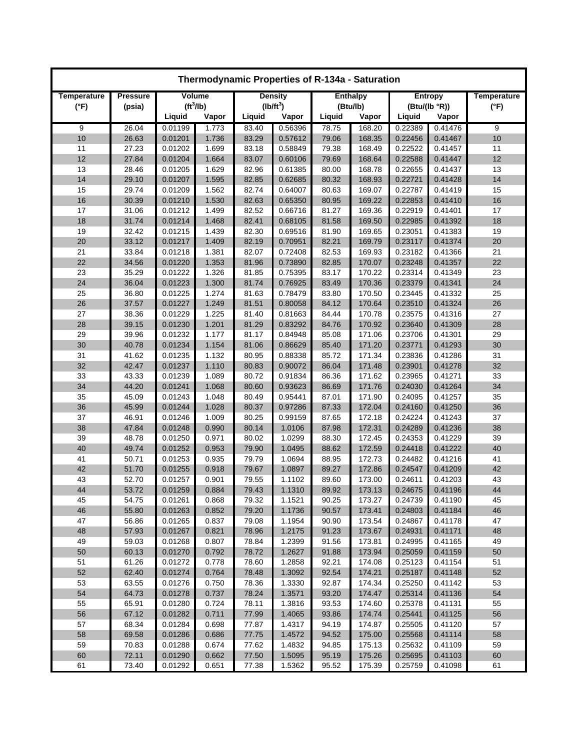| Thermodynamic Properties of R-134a - Saturation |                           |                       |                |                |                    |                |                  |                    |                    |                    |  |
|-------------------------------------------------|---------------------------|-----------------------|----------------|----------------|--------------------|----------------|------------------|--------------------|--------------------|--------------------|--|
| Temperature                                     | <b>Pressure</b><br>Volume |                       |                |                | <b>Density</b>     |                | <b>Enthalpy</b>  |                    | Entropy            | <b>Temperature</b> |  |
| $(^{\circ}F)$                                   | (psia)                    | (tf <sup>3</sup> /lb) |                |                | $(lb/ft^3)$        |                | (Btu/lb)         |                    | (Btu/(lb °R))      | $(^{\circ}F)$      |  |
|                                                 |                           | Liquid                | Vapor          | Liquid         | Vapor              | Liquid         | Vapor            | Liquid             | Vapor              |                    |  |
| 9                                               | 26.04                     | 0.01199               | 1.773          | 83.40          | 0.56396            | 78.75          | 168.20           | 0.22389            | 0.41476            | 9                  |  |
| 10                                              | 26.63                     | 0.01201               | 1.736          | 83.29          | 0.57612            | 79.06          | 168.35           | 0.22456            | 0.41467            | 10                 |  |
| 11                                              | 27.23                     | 0.01202               | 1.699          | 83.18          | 0.58849            | 79.38          | 168.49           | 0.22522            | 0.41457            | 11                 |  |
| 12                                              | 27.84                     | 0.01204               | 1.664          | 83.07          | 0.60106            | 79.69          | 168.64           | 0.22588            | 0.41447            | 12                 |  |
| 13                                              | 28.46                     | 0.01205               | 1.629          | 82.96          | 0.61385            | 80.00          | 168.78           | 0.22655            | 0.41437            | 13                 |  |
| 14                                              | 29.10                     | 0.01207               | 1.595          | 82.85          | 0.62685            | 80.32          | 168.93           | 0.22721            | 0.41428            | 14                 |  |
| 15                                              | 29.74                     | 0.01209               | 1.562          | 82.74          | 0.64007            | 80.63          | 169.07           | 0.22787            | 0.41419            | 15                 |  |
| 16                                              | 30.39                     | 0.01210               | 1.530          | 82.63          | 0.65350            | 80.95          | 169.22           | 0.22853            | 0.41410            | 16                 |  |
| 17                                              | 31.06                     | 0.01212               | 1.499          | 82.52          | 0.66716            | 81.27          | 169.36           | 0.22919            | 0.41401            | 17                 |  |
| 18<br>19                                        | 31.74<br>32.42            | 0.01214<br>0.01215    | 1.468<br>1.439 | 82.41<br>82.30 | 0.68105<br>0.69516 | 81.58<br>81.90 | 169.50<br>169.65 | 0.22985<br>0.23051 | 0.41392<br>0.41383 | 18<br>19           |  |
| 20                                              | 33.12                     | 0.01217               | 1.409          | 82.19          | 0.70951            | 82.21          | 169.79           | 0.23117            | 0.41374            | 20                 |  |
| 21                                              | 33.84                     | 0.01218               | 1.381          | 82.07          | 0.72408            | 82.53          | 169.93           | 0.23182            | 0.41366            | 21                 |  |
| 22                                              | 34.56                     | 0.01220               | 1.353          | 81.96          | 0.73890            | 82.85          | 170.07           | 0.23248            | 0.41357            | 22                 |  |
| 23                                              | 35.29                     | 0.01222               | 1.326          | 81.85          | 0.75395            | 83.17          | 170.22           | 0.23314            | 0.41349            | 23                 |  |
| 24                                              | 36.04                     | 0.01223               | 1.300          | 81.74          | 0.76925            | 83.49          | 170.36           | 0.23379            | 0.41341            | 24                 |  |
| 25                                              | 36.80                     | 0.01225               | 1.274          | 81.63          | 0.78479            | 83.80          | 170.50           | 0.23445            | 0.41332            | 25                 |  |
| 26                                              | 37.57                     | 0.01227               | 1.249          | 81.51          | 0.80058            | 84.12          | 170.64           | 0.23510            | 0.41324            | 26                 |  |
| 27                                              | 38.36                     | 0.01229               | 1.225          | 81.40          | 0.81663            | 84.44          | 170.78           | 0.23575            | 0.41316            | 27                 |  |
| 28                                              | 39.15                     | 0.01230               | 1.201          | 81.29          | 0.83292            | 84.76          | 170.92           | 0.23640            | 0.41309            | 28                 |  |
| 29                                              | 39.96                     | 0.01232               | 1.177          | 81.17          | 0.84948            | 85.08          | 171.06           | 0.23706            | 0.41301            | 29                 |  |
| 30                                              | 40.78                     | 0.01234               | 1.154          | 81.06          | 0.86629            | 85.40          | 171.20           | 0.23771            | 0.41293            | 30                 |  |
| 31                                              | 41.62                     | 0.01235               | 1.132          | 80.95          | 0.88338            | 85.72          | 171.34           | 0.23836            | 0.41286            | 31                 |  |
| 32                                              | 42.47                     | 0.01237               | 1.110          | 80.83          | 0.90072            | 86.04          | 171.48           | 0.23901            | 0.41278            | 32                 |  |
| 33                                              | 43.33                     | 0.01239               | 1.089          | 80.72          | 0.91834            | 86.36          | 171.62           | 0.23965            | 0.41271            | 33                 |  |
| 34                                              | 44.20                     | 0.01241               | 1.068          | 80.60          | 0.93623            | 86.69          | 171.76           | 0.24030            | 0.41264            | 34                 |  |
| 35                                              | 45.09                     | 0.01243               | 1.048          | 80.49          | 0.95441            | 87.01          | 171.90           | 0.24095            | 0.41257            | 35                 |  |
| 36                                              | 45.99                     | 0.01244               | 1.028          | 80.37          | 0.97286            | 87.33          | 172.04           | 0.24160            | 0.41250            | 36                 |  |
| 37                                              | 46.91                     | 0.01246               | 1.009          | 80.25          | 0.99159            | 87.65          | 172.18           | 0.24224            | 0.41243            | 37                 |  |
| 38                                              | 47.84                     | 0.01248               | 0.990          | 80.14          | 1.0106             | 87.98          | 172.31           | 0.24289            | 0.41236            | 38                 |  |
| 39                                              | 48.78                     | 0.01250               | 0.971          | 80.02          | 1.0299             | 88.30          | 172.45           | 0.24353            | 0.41229            | 39                 |  |
| 40                                              | 49.74                     | 0.01252               | 0.953          | 79.90          | 1.0495             | 88.62          | 172.59           | 0.24418            | 0.41222            | 40                 |  |
| 41                                              | 50.71                     | 0.01253               | 0.935          | 79.79          | 1.0694             | 88.95          | 172.73           | 0.24482            | 0.41216            | 41                 |  |
| 42                                              | 51.70                     | 0.01255               | 0.918          | 79.67          | 1.0897             | 89.27          | 172.86           | 0.24547            | 0.41209            | 42                 |  |
| 43                                              | 52.70                     | 0.01257               | 0.901          | 79.55          | 1.1102             | 89.60          | 173.00           | 0.24611            | 0.41203            | 43                 |  |
| 44                                              | 53.72                     | 0.01259               | 0.884          | 79.43          | 1.1310             | 89.92          | 173.13           | 0.24675            | 0.41196            | 44                 |  |
| 45                                              | 54.75                     | 0.01261               | 0.868          | 79.32          | 1.1521             | 90.25          | 173.27           | 0.24739            | 0.41190            | 45                 |  |
| 46                                              | 55.80                     | 0.01263               | 0.852          | 79.20          | 1.1736             | 90.57          | 173.41           | 0.24803            | 0.41184            | 46                 |  |
| 47                                              | 56.86                     | 0.01265               | 0.837          | 79.08          | 1.1954             | 90.90          | 173.54           | 0.24867            | 0.41178            | 47                 |  |
| 48                                              | 57.93                     | 0.01267               | 0.821          | 78.96          | 1.2175             | 91.23          | 173.67           | 0.24931            | 0.41171            | 48                 |  |
| 49                                              | 59.03                     | 0.01268               | 0.807          | 78.84          | 1.2399             | 91.56          | 173.81           | 0.24995            | 0.41165            | 49                 |  |
| 50<br>51                                        | 60.13<br>61.26            | 0.01270<br>0.01272    | 0.792<br>0.778 | 78.72<br>78.60 | 1.2627<br>1.2858   | 91.88<br>92.21 | 173.94<br>174.08 | 0.25059<br>0.25123 | 0.41159<br>0.41154 | 50<br>51           |  |
| 52                                              | 62.40                     | 0.01274               | 0.764          | 78.48          | 1.3092             | 92.54          | 174.21           | 0.25187            | 0.41148            | 52                 |  |
| 53                                              | 63.55                     | 0.01276               | 0.750          | 78.36          | 1.3330             | 92.87          | 174.34           | 0.25250            | 0.41142            | 53                 |  |
| 54                                              | 64.73                     | 0.01278               | 0.737          | 78.24          | 1.3571             | 93.20          | 174.47           | 0.25314            | 0.41136            | 54                 |  |
| 55                                              | 65.91                     | 0.01280               | 0.724          | 78.11          | 1.3816             | 93.53          | 174.60           | 0.25378            | 0.41131            | 55                 |  |
| 56                                              | 67.12                     | 0.01282               | 0.711          | 77.99          | 1.4065             | 93.86          | 174.74           | 0.25441            | 0.41125            | 56                 |  |
| 57                                              | 68.34                     | 0.01284               | 0.698          | 77.87          | 1.4317             | 94.19          | 174.87           | 0.25505            | 0.41120            | 57                 |  |
| 58                                              | 69.58                     | 0.01286               | 0.686          | 77.75          | 1.4572             | 94.52          | 175.00           | 0.25568            | 0.41114            | 58                 |  |
| 59                                              | 70.83                     | 0.01288               | 0.674          | 77.62          | 1.4832             | 94.85          | 175.13           | 0.25632            | 0.41109            | 59                 |  |
| 60                                              | 72.11                     | 0.01290               | 0.662          | 77.50          | 1.5095             | 95.19          | 175.26           | 0.25695            | 0.41103            | 60                 |  |
| 61                                              | 73.40                     | 0.01292               | 0.651          | 77.38          | 1.5362             | 95.52          | 175.39           | 0.25759            | 0.41098            | 61                 |  |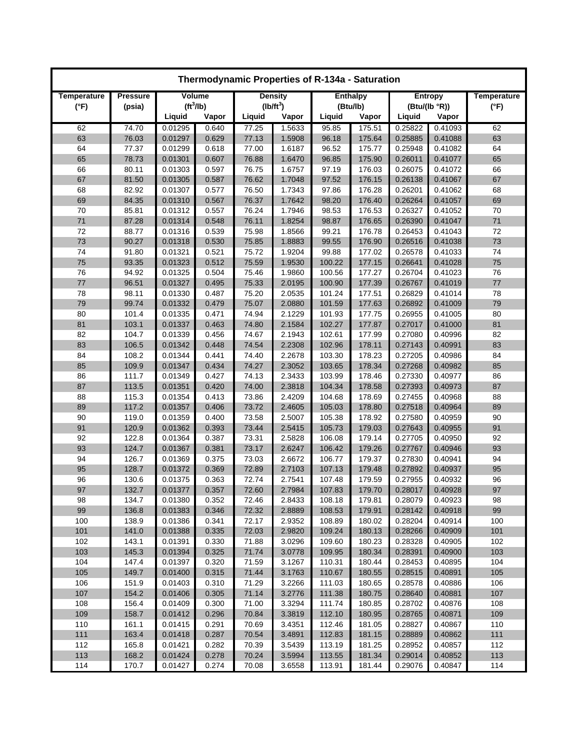| Thermodynamic Properties of R-134a - Saturation |                           |                       |       |                |             |        |                 |         |               |                    |
|-------------------------------------------------|---------------------------|-----------------------|-------|----------------|-------------|--------|-----------------|---------|---------------|--------------------|
| Temperature                                     | Volume<br><b>Pressure</b> |                       |       | <b>Density</b> |             |        | <b>Enthalpy</b> |         | Entropy       | <b>Temperature</b> |
| $(^{\circ}F)$                                   | (psia)                    | (tf <sup>3</sup> /lb) |       |                | $(lb/ft^3)$ |        | (Btu/lb)        |         | (Btu/(lb °R)) | (°F)               |
|                                                 |                           | Liquid                | Vapor | Liquid         | Vapor       | Liquid | Vapor           | Liquid  | Vapor         |                    |
| 62                                              | 74.70                     | 0.01295               | 0.640 | 77.25          | 1.5633      | 95.85  | 175.51          | 0.25822 | 0.41093       | 62                 |
| 63                                              | 76.03                     | 0.01297               | 0.629 | 77.13          | 1.5908      | 96.18  | 175.64          | 0.25885 | 0.41088       | 63                 |
| 64                                              | 77.37                     | 0.01299               | 0.618 | 77.00          | 1.6187      | 96.52  | 175.77          | 0.25948 | 0.41082       | 64                 |
| 65                                              | 78.73                     | 0.01301               | 0.607 | 76.88          | 1.6470      | 96.85  | 175.90          | 0.26011 | 0.41077       | 65                 |
| 66                                              | 80.11                     | 0.01303               | 0.597 | 76.75          | 1.6757      | 97.19  | 176.03          | 0.26075 | 0.41072       | 66                 |
| 67                                              | 81.50                     | 0.01305               | 0.587 | 76.62          | 1.7048      | 97.52  | 176.15          | 0.26138 | 0.41067       | 67                 |
| 68                                              | 82.92                     | 0.01307               | 0.577 | 76.50          | 1.7343      | 97.86  | 176.28          | 0.26201 | 0.41062       | 68                 |
| 69                                              | 84.35                     | 0.01310               | 0.567 | 76.37          | 1.7642      | 98.20  | 176.40          | 0.26264 | 0.41057       | 69                 |
| 70                                              | 85.81                     | 0.01312               | 0.557 | 76.24          | 1.7946      | 98.53  | 176.53          | 0.26327 | 0.41052       | 70                 |
| 71                                              | 87.28                     | 0.01314               | 0.548 | 76.11          | 1.8254      | 98.87  | 176.65          | 0.26390 | 0.41047       | 71                 |
| 72                                              | 88.77                     | 0.01316               | 0.539 | 75.98          | 1.8566      | 99.21  | 176.78          | 0.26453 | 0.41043       | 72                 |
| 73                                              | 90.27                     | 0.01318               | 0.530 | 75.85          | 1.8883      | 99.55  | 176.90          | 0.26516 | 0.41038       | 73                 |
| 74                                              | 91.80                     | 0.01321               | 0.521 | 75.72          | 1.9204      | 99.88  | 177.02          | 0.26578 | 0.41033       | 74                 |
| 75                                              | 93.35                     | 0.01323               | 0.512 | 75.59          | 1.9530      | 100.22 | 177.15          | 0.26641 | 0.41028       | 75                 |
| 76                                              | 94.92                     | 0.01325               | 0.504 | 75.46          | 1.9860      | 100.56 | 177.27          | 0.26704 | 0.41023       | 76                 |
| 77                                              | 96.51                     | 0.01327               | 0.495 | 75.33          | 2.0195      | 100.90 | 177.39          | 0.26767 | 0.41019       | 77                 |
| 78                                              | 98.11                     | 0.01330               | 0.487 | 75.20          | 2.0535      | 101.24 | 177.51          | 0.26829 | 0.41014       | 78                 |
| 79                                              | 99.74                     | 0.01332               | 0.479 | 75.07          | 2.0880      | 101.59 | 177.63          | 0.26892 | 0.41009       | 79                 |
| 80                                              | 101.4                     | 0.01335               | 0.471 | 74.94          | 2.1229      | 101.93 | 177.75          | 0.26955 | 0.41005       | 80                 |
| 81                                              | 103.1                     | 0.01337               | 0.463 | 74.80          | 2.1584      | 102.27 | 177.87          | 0.27017 | 0.41000       | 81                 |
| 82                                              | 104.7                     | 0.01339               | 0.456 | 74.67          | 2.1943      | 102.61 | 177.99          | 0.27080 | 0.40996       | 82                 |
| 83                                              | 106.5                     | 0.01342               | 0.448 | 74.54          | 2.2308      | 102.96 | 178.11          | 0.27143 | 0.40991       | 83                 |
| 84                                              | 108.2                     | 0.01344               | 0.441 | 74.40          | 2.2678      | 103.30 | 178.23          | 0.27205 | 0.40986       | 84                 |
| 85                                              | 109.9                     | 0.01347               | 0.434 | 74.27          | 2.3052      | 103.65 | 178.34          | 0.27268 | 0.40982       | 85                 |
| 86                                              | 111.7                     | 0.01349               | 0.427 | 74.13          | 2.3433      | 103.99 | 178.46          | 0.27330 | 0.40977       | 86                 |
| 87                                              | 113.5                     | 0.01351               | 0.420 | 74.00          | 2.3818      | 104.34 | 178.58          | 0.27393 | 0.40973       | 87                 |
| 88                                              | 115.3                     | 0.01354               | 0.413 | 73.86          | 2.4209      | 104.68 | 178.69          | 0.27455 | 0.40968       | 88                 |
| 89                                              | 117.2                     | 0.01357               | 0.406 | 73.72          | 2.4605      | 105.03 | 178.80          | 0.27518 | 0.40964       | 89                 |
| 90                                              | 119.0                     | 0.01359               | 0.400 | 73.58          | 2.5007      | 105.38 | 178.92          | 0.27580 | 0.40959       | 90                 |
| 91                                              | 120.9                     | 0.01362               | 0.393 | 73.44          | 2.5415      | 105.73 | 179.03          | 0.27643 | 0.40955       | 91                 |
| 92                                              | 122.8                     | 0.01364               | 0.387 | 73.31          | 2.5828      | 106.08 | 179.14          | 0.27705 | 0.40950       | 92                 |
| 93                                              | 124.7                     | 0.01367               | 0.381 | 73.17          | 2.6247      | 106.42 | 179.26          | 0.27767 | 0.40946       | 93                 |
| 94                                              | 126.7                     | 0.01369               | 0.375 | 73.03          | 2.6672      | 106.77 | 179.37          | 0.27830 | 0.40941       | 94                 |
| 95                                              | 128.7                     | 0.01372               | 0.369 | 72.89          | 2.7103      | 107.13 | 179.48          | 0.27892 | 0.40937       | 95                 |
| 96                                              | 130.6                     | 0.01375               | 0.363 | 72.74          | 2.7541      | 107.48 | 179.59          | 0.27955 | 0.40932       | 96                 |
| 97                                              | 132.7                     | 0.01377               | 0.357 | 72.60          | 2.7984      | 107.83 | 179.70          | 0.28017 | 0.40928       | 97                 |
| 98                                              | 134.7                     | 0.01380               | 0.352 | 72.46          | 2.8433      | 108.18 | 179.81          | 0.28079 | 0.40923       | 98                 |
| 99                                              | 136.8                     | 0.01383               | 0.346 | 72.32          | 2.8889      | 108.53 | 179.91          | 0.28142 | 0.40918       | 99                 |
| 100                                             | 138.9                     | 0.01386               | 0.341 | 72.17          | 2.9352      | 108.89 | 180.02          | 0.28204 | 0.40914       | 100                |
| 101                                             | 141.0                     | 0.01388               | 0.335 | 72.03          | 2.9820      | 109.24 | 180.13          | 0.28266 | 0.40909       | 101                |
| 102                                             | 143.1                     | 0.01391               | 0.330 | 71.88          | 3.0296      | 109.60 | 180.23          | 0.28328 | 0.40905       | 102                |
| 103                                             | 145.3                     | 0.01394               | 0.325 | 71.74          | 3.0778      | 109.95 | 180.34          | 0.28391 | 0.40900       | 103                |
| 104                                             | 147.4                     | 0.01397               | 0.320 | 71.59          | 3.1267      | 110.31 | 180.44          | 0.28453 | 0.40895       | 104                |
| 105                                             | 149.7                     | 0.01400               | 0.315 | 71.44          | 3.1763      | 110.67 | 180.55          | 0.28515 | 0.40891       | 105                |
| 106                                             | 151.9                     | 0.01403               | 0.310 | 71.29          | 3.2266      | 111.03 | 180.65          | 0.28578 | 0.40886       | 106                |
| 107                                             | 154.2                     | 0.01406               | 0.305 | 71.14          | 3.2776      | 111.38 | 180.75          | 0.28640 | 0.40881       | 107                |
| 108                                             | 156.4                     | 0.01409               | 0.300 | 71.00          | 3.3294      | 111.74 | 180.85          | 0.28702 | 0.40876       | 108                |
| 109                                             | 158.7                     | 0.01412               | 0.296 | 70.84          | 3.3819      | 112.10 | 180.95          | 0.28765 | 0.40871       | 109                |
| 110                                             | 161.1                     | 0.01415               | 0.291 | 70.69          | 3.4351      | 112.46 | 181.05          | 0.28827 | 0.40867       | 110                |
| 111                                             | 163.4                     | 0.01418               | 0.287 | 70.54          | 3.4891      | 112.83 | 181.15          | 0.28889 | 0.40862       | 111                |
| 112                                             | 165.8                     | 0.01421               | 0.282 | 70.39          | 3.5439      | 113.19 | 181.25          | 0.28952 | 0.40857       | 112                |
| 113                                             | 168.2                     | 0.01424               | 0.278 | 70.24          | 3.5994      | 113.55 | 181.34          | 0.29014 | 0.40852       | 113                |
| 114                                             | 170.7                     | 0.01427               | 0.274 | 70.08          | 3.6558      | 113.91 | 181.44          | 0.29076 | 0.40847       | 114                |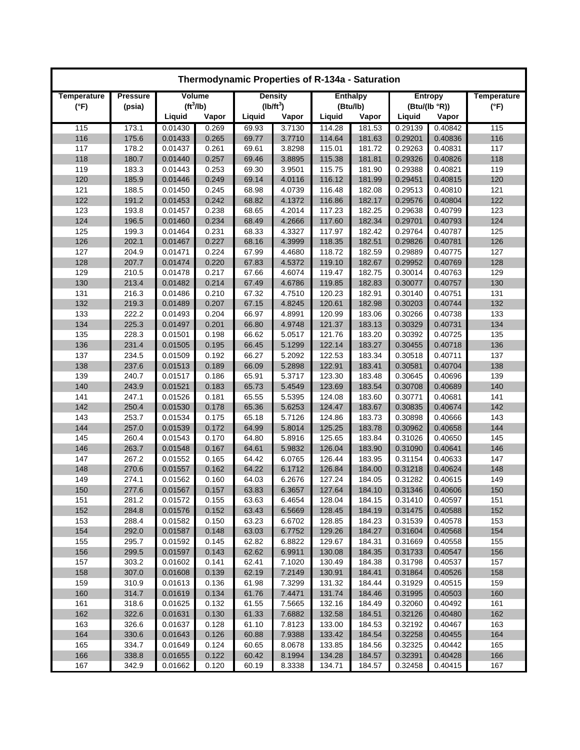| Thermodynamic Properties of R-134a - Saturation |                                  |                       |       |                |             |                 |          |         |                    |               |
|-------------------------------------------------|----------------------------------|-----------------------|-------|----------------|-------------|-----------------|----------|---------|--------------------|---------------|
| Temperature                                     | <b>Pressure</b><br><b>Volume</b> |                       |       | <b>Density</b> |             | <b>Enthalpy</b> |          | Entropy | <b>Temperature</b> |               |
| $(^{\circ}F)$                                   | (psia)                           | (tf <sup>3</sup> /lb) |       |                | $(lb/ft^3)$ |                 | (Btu/lb) |         | (Btu/(lb °R))      | $(^{\circ}F)$ |
|                                                 |                                  | Liquid                | Vapor | Liquid         | Vapor       | Liquid          | Vapor    | Liquid  | Vapor              |               |
| 115                                             | 173.1                            | 0.01430               | 0.269 | 69.93          | 3.7130      | 114.28          | 181.53   | 0.29139 | 0.40842            | 115           |
| 116                                             | 175.6                            | 0.01433               | 0.265 | 69.77          | 3.7710      | 114.64          | 181.63   | 0.29201 | 0.40836            | 116           |
| 117                                             | 178.2                            | 0.01437               | 0.261 | 69.61          | 3.8298      | 115.01          | 181.72   | 0.29263 | 0.40831            | 117           |
| 118                                             | 180.7                            | 0.01440               | 0.257 | 69.46          | 3.8895      | 115.38          | 181.81   | 0.29326 | 0.40826            | 118           |
| 119                                             | 183.3                            | 0.01443               | 0.253 | 69.30          | 3.9501      | 115.75          | 181.90   | 0.29388 | 0.40821            | 119           |
| 120                                             | 185.9                            | 0.01446               | 0.249 | 69.14          | 4.0116      | 116.12          | 181.99   | 0.29451 | 0.40815            | 120           |
| 121                                             | 188.5                            | 0.01450               | 0.245 | 68.98          | 4.0739      | 116.48          | 182.08   | 0.29513 | 0.40810            | 121           |
| 122                                             | 191.2                            | 0.01453               | 0.242 | 68.82          | 4.1372      | 116.86          | 182.17   | 0.29576 | 0.40804            | 122           |
| 123                                             | 193.8                            | 0.01457               | 0.238 | 68.65          | 4.2014      | 117.23          | 182.25   | 0.29638 | 0.40799            | 123           |
| 124                                             | 196.5                            | 0.01460               | 0.234 | 68.49          | 4.2666      | 117.60          | 182.34   | 0.29701 | 0.40793            | 124           |
| 125                                             | 199.3                            | 0.01464               | 0.231 | 68.33          | 4.3327      | 117.97          | 182.42   | 0.29764 | 0.40787            | 125           |
| 126                                             | 202.1                            | 0.01467               | 0.227 | 68.16          | 4.3999      | 118.35          | 182.51   | 0.29826 | 0.40781            | 126           |
| 127                                             | 204.9                            | 0.01471               | 0.224 | 67.99          | 4.4680      | 118.72          | 182.59   | 0.29889 | 0.40775            | 127           |
| 128                                             | 207.7                            | 0.01474               | 0.220 | 67.83          | 4.5372      | 119.10          | 182.67   | 0.29952 | 0.40769            | 128           |
| 129                                             | 210.5                            | 0.01478               | 0.217 | 67.66          | 4.6074      | 119.47          | 182.75   | 0.30014 | 0.40763            | 129           |
| 130                                             | 213.4                            | 0.01482               | 0.214 | 67.49          | 4.6786      | 119.85          | 182.83   | 0.30077 | 0.40757            | 130           |
| 131                                             | 216.3                            | 0.01486               | 0.210 | 67.32          | 4.7510      | 120.23          | 182.91   | 0.30140 | 0.40751            | 131           |
| 132                                             | 219.3                            | 0.01489               | 0.207 | 67.15          | 4.8245      | 120.61          | 182.98   | 0.30203 | 0.40744            | 132           |
| 133                                             | 222.2                            | 0.01493               | 0.204 | 66.97          | 4.8991      | 120.99          | 183.06   | 0.30266 | 0.40738            | 133           |
| 134                                             | 225.3                            | 0.01497               | 0.201 | 66.80          | 4.9748      | 121.37          | 183.13   | 0.30329 | 0.40731            | 134           |
| 135                                             | 228.3                            | 0.01501               | 0.198 | 66.62          | 5.0517      | 121.76          | 183.20   | 0.30392 | 0.40725            | 135           |
| 136                                             | 231.4                            | 0.01505               | 0.195 | 66.45          | 5.1299      | 122.14          | 183.27   | 0.30455 | 0.40718            | 136           |
| 137                                             | 234.5                            | 0.01509               | 0.192 | 66.27          | 5.2092      | 122.53          | 183.34   | 0.30518 | 0.40711            | 137           |
| 138                                             | 237.6                            | 0.01513               | 0.189 | 66.09          | 5.2898      | 122.91          | 183.41   | 0.30581 | 0.40704            | 138           |
| 139                                             | 240.7                            | 0.01517               | 0.186 | 65.91          | 5.3717      | 123.30          | 183.48   | 0.30645 | 0.40696            | 139           |
| 140                                             | 243.9                            | 0.01521               | 0.183 | 65.73          | 5.4549      | 123.69          | 183.54   | 0.30708 | 0.40689            | 140           |
| 141                                             | 247.1                            | 0.01526               | 0.181 | 65.55          | 5.5395      | 124.08          | 183.60   | 0.30771 | 0.40681            | 141           |
| 142                                             | 250.4                            | 0.01530               | 0.178 | 65.36          | 5.6253      | 124.47          | 183.67   | 0.30835 | 0.40674            | 142           |
| 143                                             | 253.7                            | 0.01534               | 0.175 | 65.18          | 5.7126      | 124.86          | 183.73   | 0.30898 | 0.40666            | 143           |
| 144                                             | 257.0                            | 0.01539               | 0.172 | 64.99          | 5.8014      | 125.25          | 183.78   | 0.30962 | 0.40658            | 144           |
| 145                                             | 260.4                            | 0.01543               | 0.170 | 64.80          | 5.8916      | 125.65          | 183.84   | 0.31026 | 0.40650            | 145           |
| 146                                             | 263.7                            | 0.01548               | 0.167 | 64.61          | 5.9832      | 126.04          | 183.90   | 0.31090 | 0.40641            | 146           |
| 147                                             | 267.2                            | 0.01552               | 0.165 | 64.42          | 6.0765      | 126.44          | 183.95   | 0.31154 | 0.40633            | 147           |
| 148                                             | 270.6                            | 0.01557               | 0.162 | 64.22          | 6.1712      | 126.84          | 184.00   | 0.31218 | 0.40624            | 148           |
| 149                                             | 274.1                            | 0.01562               | 0.160 | 64.03          | 6.2676      | 127.24          | 184.05   | 0.31282 | 0.40615            | 149           |
| 150                                             | 277.6                            | 0.01567               | 0.157 | 63.83          | 6.3657      | 127.64          | 184.10   | 0.31346 | 0.40606            | 150           |
| 151                                             | 281.2                            | 0.01572               | 0.155 | 63.63          | 6.4654      | 128.04          | 184.15   | 0.31410 | 0.40597            | 151           |
| 152                                             | 284.8                            | 0.01576               | 0.152 | 63.43          | 6.5669      | 128.45          | 184.19   | 0.31475 | 0.40588            | 152           |
| 153                                             | 288.4                            | 0.01582               | 0.150 | 63.23          | 6.6702      | 128.85          | 184.23   | 0.31539 | 0.40578            | 153           |
| 154                                             | 292.0                            | 0.01587               | 0.148 | 63.03          | 6.7752      | 129.26          | 184.27   | 0.31604 | 0.40568            | 154           |
| 155                                             | 295.7                            | 0.01592               | 0.145 | 62.82          | 6.8822      | 129.67          | 184.31   | 0.31669 | 0.40558            | 155           |
| 156                                             | 299.5                            | 0.01597               | 0.143 | 62.62          | 6.9911      | 130.08          | 184.35   | 0.31733 | 0.40547            | 156           |
| 157                                             | 303.2                            | 0.01602               | 0.141 | 62.41          | 7.1020      | 130.49          | 184.38   | 0.31798 | 0.40537            | 157           |
| 158                                             | 307.0                            | 0.01608               | 0.139 | 62.19          | 7.2149      | 130.91          | 184.41   | 0.31864 | 0.40526            | 158           |
| 159                                             | 310.9                            | 0.01613               | 0.136 | 61.98          | 7.3299      | 131.32          | 184.44   | 0.31929 | 0.40515            | 159           |
| 160                                             | 314.7                            | 0.01619               | 0.134 | 61.76          | 7.4471      | 131.74          | 184.46   | 0.31995 | 0.40503            | 160           |
| 161                                             | 318.6                            | 0.01625               | 0.132 | 61.55          | 7.5665      | 132.16          | 184.49   | 0.32060 | 0.40492            | 161           |
| 162                                             | 322.6                            | 0.01631               | 0.130 | 61.33          | 7.6882      | 132.58          | 184.51   | 0.32126 | 0.40480            | 162           |
| 163                                             | 326.6                            | 0.01637               | 0.128 | 61.10          | 7.8123      | 133.00          | 184.53   | 0.32192 | 0.40467            | 163           |
| 164                                             | 330.6                            | 0.01643               | 0.126 | 60.88          | 7.9388      | 133.42          | 184.54   | 0.32258 | 0.40455            | 164           |
| 165                                             | 334.7                            | 0.01649               | 0.124 | 60.65          | 8.0678      | 133.85          | 184.56   | 0.32325 | 0.40442            | 165           |
| 166                                             | 338.8                            | 0.01655               | 0.122 | 60.42          | 8.1994      | 134.28          | 184.57   | 0.32391 | 0.40428            | 166           |
| 167                                             | 342.9                            | 0.01662               | 0.120 | 60.19          | 8.3338      | 134.71          | 184.57   | 0.32458 | 0.40415            | 167           |